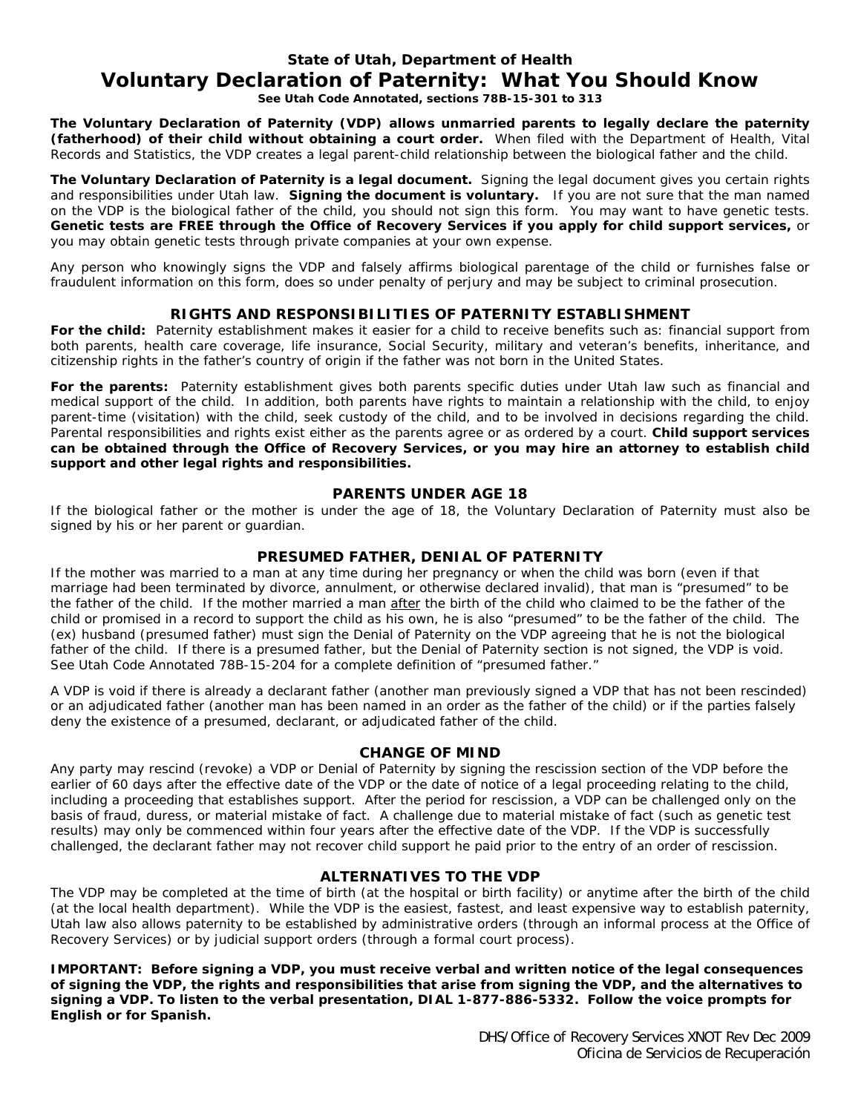# **State of Utah, Department of Health**

# **Voluntary Declaration of Paternity: What You Should Know**

**See Utah Code Annotated, sections 78B-15-301 to 313** 

**The Voluntary Declaration of Paternity (VDP) allows unmarried parents to legally declare the paternity (fatherhood) of their child without obtaining a court order.** When filed with the Department of Health, Vital Records and Statistics, the VDP creates a legal parent-child relationship between the biological father and the child.

**The Voluntary Declaration of Paternity is a legal document.** Signing the legal document gives you certain rights and responsibilities under Utah law. **Signing the document is voluntary.** If you are not sure that the man named on the VDP is the biological father of the child, you should not sign this form. You may want to have genetic tests. **Genetic tests are FREE through the Office of Recovery Services if you apply for child support services,** or you may obtain genetic tests through private companies at your own expense.

Any person who knowingly signs the VDP and falsely affirms biological parentage of the child or furnishes false or fraudulent information on this form, does so under penalty of perjury and may be subject to criminal prosecution.

## **RIGHTS AND RESPONSIBILITIES OF PATERNITY ESTABLISHMENT**

**For the child:** Paternity establishment makes it easier for a child to receive benefits such as: financial support from both parents, health care coverage, life insurance, Social Security, military and veteran's benefits, inheritance, and citizenship rights in the father's country of origin if the father was not born in the United States.

**For the parents:** Paternity establishment gives both parents specific duties under Utah law such as financial and medical support of the child. In addition, both parents have rights to maintain a relationship with the child, to enjoy parent-time (visitation) with the child, seek custody of the child, and to be involved in decisions regarding the child. Parental responsibilities and rights exist either as the parents agree or as ordered by a court. **Child support services can be obtained through the Office of Recovery Services, or you may hire an attorney to establish child support and other legal rights and responsibilities.** 

## **PARENTS UNDER AGE 18**

If the biological father or the mother is under the age of 18, the Voluntary Declaration of Paternity must also be signed by his or her parent or guardian.

# **PRESUMED FATHER, DENIAL OF PATERNITY**

If the mother was married to a man at any time during her pregnancy or when the child was born (even if that marriage had been terminated by divorce, annulment, or otherwise declared invalid), that man is "presumed" to be the father of the child. If the mother married a man after the birth of the child who claimed to be the father of the child or promised in a record to support the child as his own, he is also "presumed" to be the father of the child. The (ex) husband (presumed father) must sign the Denial of Paternity on the VDP agreeing that he is not the biological father of the child. If there is a presumed father, but the Denial of Paternity section is not signed, the VDP is void. See Utah Code Annotated 78B-15-204 for a complete definition of "presumed father."

A VDP is void if there is already a declarant father (another man previously signed a VDP that has not been rescinded) or an adjudicated father (another man has been named in an order as the father of the child) or if the parties falsely deny the existence of a presumed, declarant, or adjudicated father of the child.

## **CHANGE OF MIND**

Any party may rescind (revoke) a VDP or Denial of Paternity by signing the rescission section of the VDP before the earlier of 60 days after the effective date of the VDP or the date of notice of a legal proceeding relating to the child, including a proceeding that establishes support. After the period for rescission, a VDP can be challenged only on the basis of fraud, duress, or material mistake of fact. A challenge due to material mistake of fact (such as genetic test results) may only be commenced within four years after the effective date of the VDP. If the VDP is successfully challenged, the declarant father may not recover child support he paid prior to the entry of an order of rescission.

## **ALTERNATIVES TO THE VDP**

The VDP may be completed at the time of birth (at the hospital or birth facility) or anytime after the birth of the child (at the local health department). While the VDP is the easiest, fastest, and least expensive way to establish paternity, Utah law also allows paternity to be established by administrative orders (through an informal process at the Office of Recovery Services) or by judicial support orders (through a formal court process).

**IMPORTANT: Before signing a VDP, you must receive verbal and written notice of the legal consequences of signing the VDP, the rights and responsibilities that arise from signing the VDP, and the alternatives to signing a VDP. To listen to the verbal presentation, DIAL 1-877-886-5332. Follow the voice prompts for English or for Spanish.**